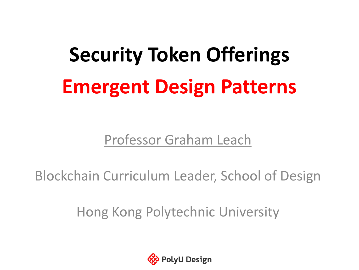# **Security Token Offerings Emergent Design Patterns**

Professor Graham Leach

Blockchain Curriculum Leader, School of Design

Hong Kong Polytechnic University

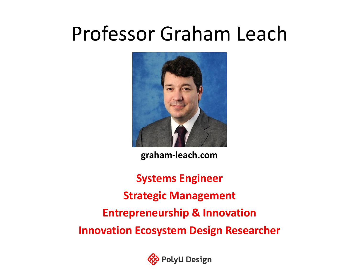## Professor Graham Leach



**graham-leach.com**

**Systems Engineer Strategic Management Entrepreneurship & Innovation Innovation Ecosystem Design Researcher**

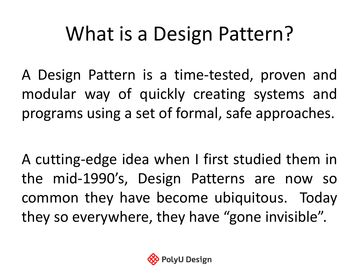## What is a Design Pattern?

A Design Pattern is a time-tested, proven and modular way of quickly creating systems and programs using a set of formal, safe approaches.

A cutting-edge idea when I first studied them in the mid-1990's, Design Patterns are now so common they have become ubiquitous. Today they so everywhere, they have "gone invisible".

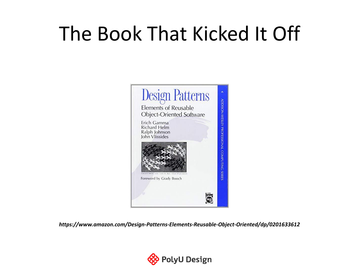## The Book That Kicked It Off



*https://www.amazon.com/Design-Patterns-Elements-Reusable-Object-Oriented/dp/0201633612*

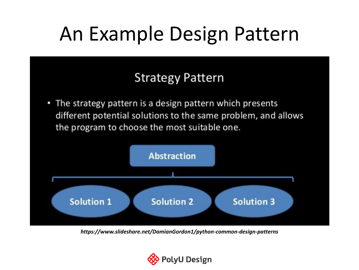## An Example Design Pattern

#### **Strategy Pattern**

• The strategy pattern is a design pattern which presents different potential solutions to the same problem, and allows the program to choose the most suitable one.



*https://www.slideshare.net/DamianGordon1/python-common-design-patterns*

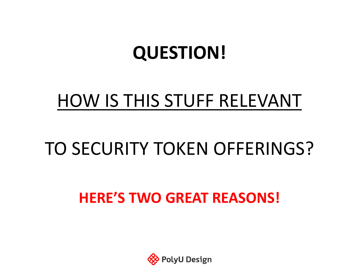### **QUESTION!**

### HOW IS THIS STUFF RELEVANT

### TO SECURITY TOKEN OFFERINGS?

#### **HERE'S TWO GREAT REASONS!**

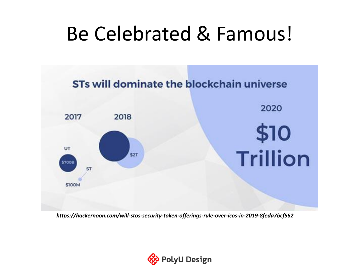## Be Celebrated & Famous!



*https://hackernoon.com/will-stos-security-token-offerings-rule-over-icos-in-2019-8feda7bcf562*

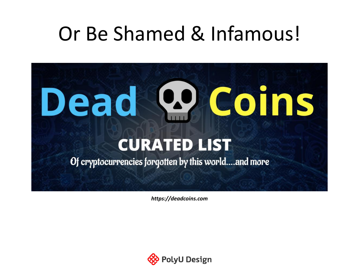## Or Be Shamed & Infamous!



*https://deadcoins.com*

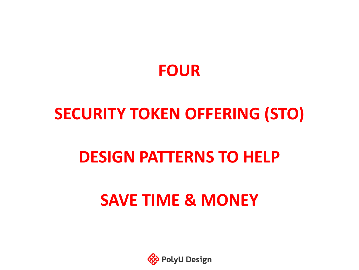

#### **SECURITY TOKEN OFFERING (STO)**

#### **DESIGN PATTERNS TO HELP**

#### **SAVE TIME & MONEY**

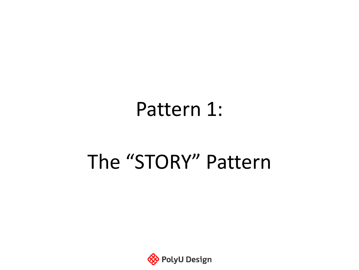### Pattern 1:

## The "STORY" Pattern

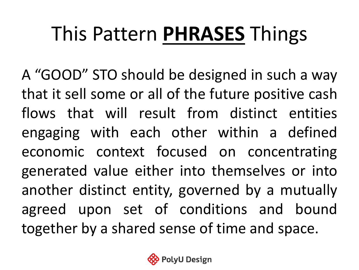# This Pattern **PHRASES** Things

A "GOOD" STO should be designed in such a way that it sell some or all of the future positive cash flows that will result from distinct entities engaging with each other within a defined economic context focused on concentrating generated value either into themselves or into another distinct entity, governed by a mutually agreed upon set of conditions and bound together by a shared sense of time and space.

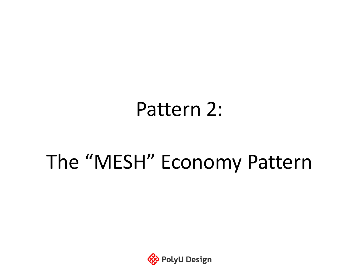### Pattern 2:

## The "MESH" Economy Pattern

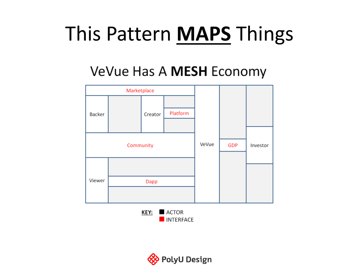## This Pattern **MAPS** Things

#### VeVue Has A MESH Economy



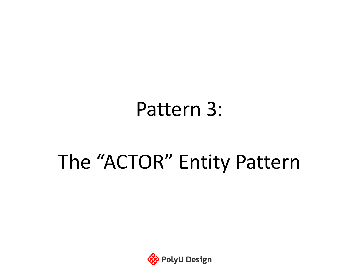### Pattern 3:

## The "ACTOR" Entity Pattern

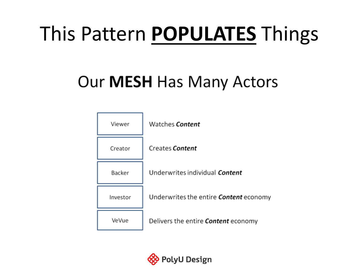## This Pattern **POPULATES** Things

#### Our **MESH** Has Many Actors



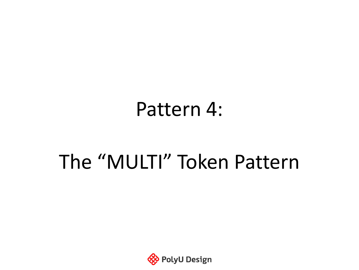### Pattern 4:

## The "MULTI" Token Pattern

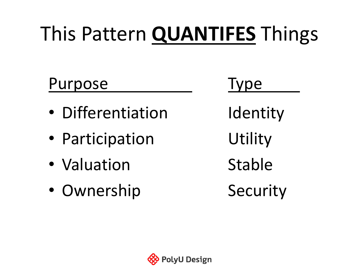# This Pattern **QUANTIFES** Things

#### Purpose Type

- Differentiation ldentity
- Participation Utility
- Valuation Stable
- Ownership Security

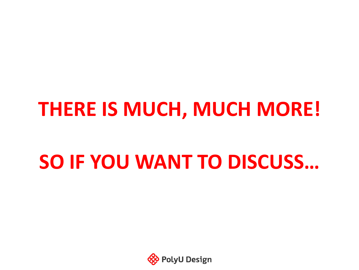### **THERE IS MUCH, MUCH MORE!**

## **SO IF YOU WANT TO DISCUSS…**